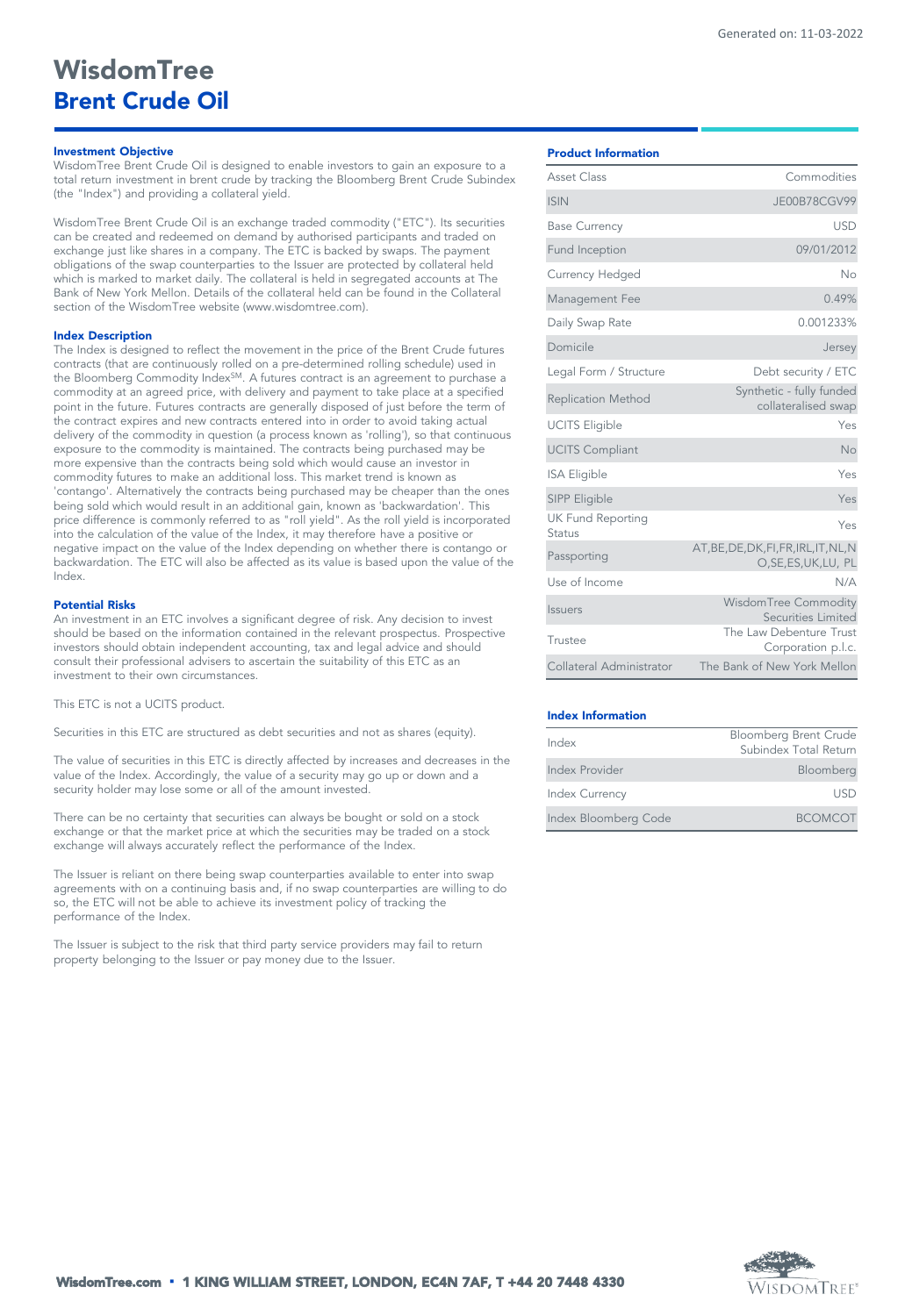# *Investment Objective*

WisdomTree Brent Crude Oil is designed to enable investors to gain an exposure to a total return investment in brent crude by tracking the Bloomberg Brent Crude Subindex (the "Index") and providing a collateral yield.

WisdomTree Brent Crude Oil is an exchange traded commodity ("ETC"). Its securities can be created and redeemed on demand by authorised participants and traded on exchange just like shares in a company. The ETC is backed by swaps. The payment obligations of the swap counterparties to the Issuer are protected by collateral held which is marked to market daily. The collateral is held in segregated accounts at The Bank of New York Mellon. Details of the collateral held can be found in the Collateral section of the WisdomTree website (www.wisdomtree.com).

### *Index Description*

The Index is designed to reflect the movement in the price of the Brent Crude futures contracts (that are continuously rolled on a pre-determined rolling schedule) used in the Bloomberg Commodity Index<sup>SM</sup>. A futures contract is an agreement to purchase a commodity at an agreed price, with delivery and payment to take place at a specified point in the future. Futures contracts are generally disposed of just before the term of the contract expires and new contracts entered into in order to avoid taking actual delivery of the commodity in question (a process known as 'rolling'), so that continuous exposure to the commodity is maintained. The contracts being purchased may be more expensive than the contracts being sold which would cause an investor in commodity futures to make an additional loss. This market trend is known as 'contango'. Alternatively the contracts being purchased may be cheaper than the ones being sold which would result in an additional gain, known as 'backwardation'. This price difference is commonly referred to as "roll yield". As the roll yield is incorporated into the calculation of the value of the Index, it may therefore have a positive or negative impact on the value of the Index depending on whether there is contango or backwardation. The ETC will also be affected as its value is based upon the value of the Index.

### *Potential Risks*

An investment in an ETC involves a significant degree of risk. Any decision to invest should be based on the information contained in the relevant prospectus. Prospective investors should obtain independent accounting, tax and legal advice and should consult their professional advisers to ascertain the suitability of this ETC as an investment to their own circumstances.

This ETC is not a UCITS product.

Securities in this ETC are structured as debt securities and not as shares (equity).

The value of securities in this ETC is directly affected by increases and decreases in the value of the Index. Accordingly, the value of a security may go up or down and a security holder may lose some or all of the amount invested.

There can be no certainty that securities can always be bought or sold on a stock exchange or that the market price at which the securities may be traded on a stock exchange will always accurately reflect the performance of the Index.

The Issuer is reliant on there being swap counterparties available to enter into swap agreements with on a continuing basis and, if no swap counterparties are willing to do so, the ETC will not be able to achieve its investment policy of tracking the performance of the Index.

The Issuer is subject to the risk that third party service providers may fail to return property belonging to the Issuer or pay money due to the Issuer.

| Asset Class                        | Commodities                                                     |
|------------------------------------|-----------------------------------------------------------------|
| <b>ISIN</b>                        | JE00B78CGV99                                                    |
| <b>Base Currency</b>               | <b>USD</b>                                                      |
| Fund Inception                     | 09/01/2012                                                      |
| Currency Hedged                    | No                                                              |
| Management Fee                     | 0.49%                                                           |
| Daily Swap Rate                    | 0.001233%                                                       |
| Domicile                           | Jersey                                                          |
| Legal Form / Structure             | Debt security / ETC                                             |
| <b>Replication Method</b>          | Synthetic - fully funded<br>collateralised swap                 |
| <b>UCITS Eligible</b>              | Yes                                                             |
| <b>UCITS Compliant</b>             | <b>No</b>                                                       |
| <b>ISA Eligible</b>                | Yes                                                             |
| SIPP Eligible                      | Yes                                                             |
| <b>UK Fund Reporting</b><br>Status | Yes                                                             |
| Passporting                        | AT, BE, DE, DK, FI, FR, IRL, IT, NL, N<br>O, SE, ES, UK, LU, PL |
| Use of Income                      | N/A                                                             |
| <b>Issuers</b>                     | WisdomTree Commodity<br>Securities Limited                      |
| Trustee                            | The Law Debenture Trust<br>Corporation p.l.c.                   |
| Collateral Administrator           | The Bank of New York Mellon                                     |

#### *Index Information*

| Index                 | <b>Bloomberg Brent Crude</b> |
|-----------------------|------------------------------|
|                       | Subindex Total Return        |
| Index Provider        | Bloomberg                    |
| <b>Index Currency</b> | USD                          |
| Index Bloomberg Code  | <b>BCOMCOT</b>               |

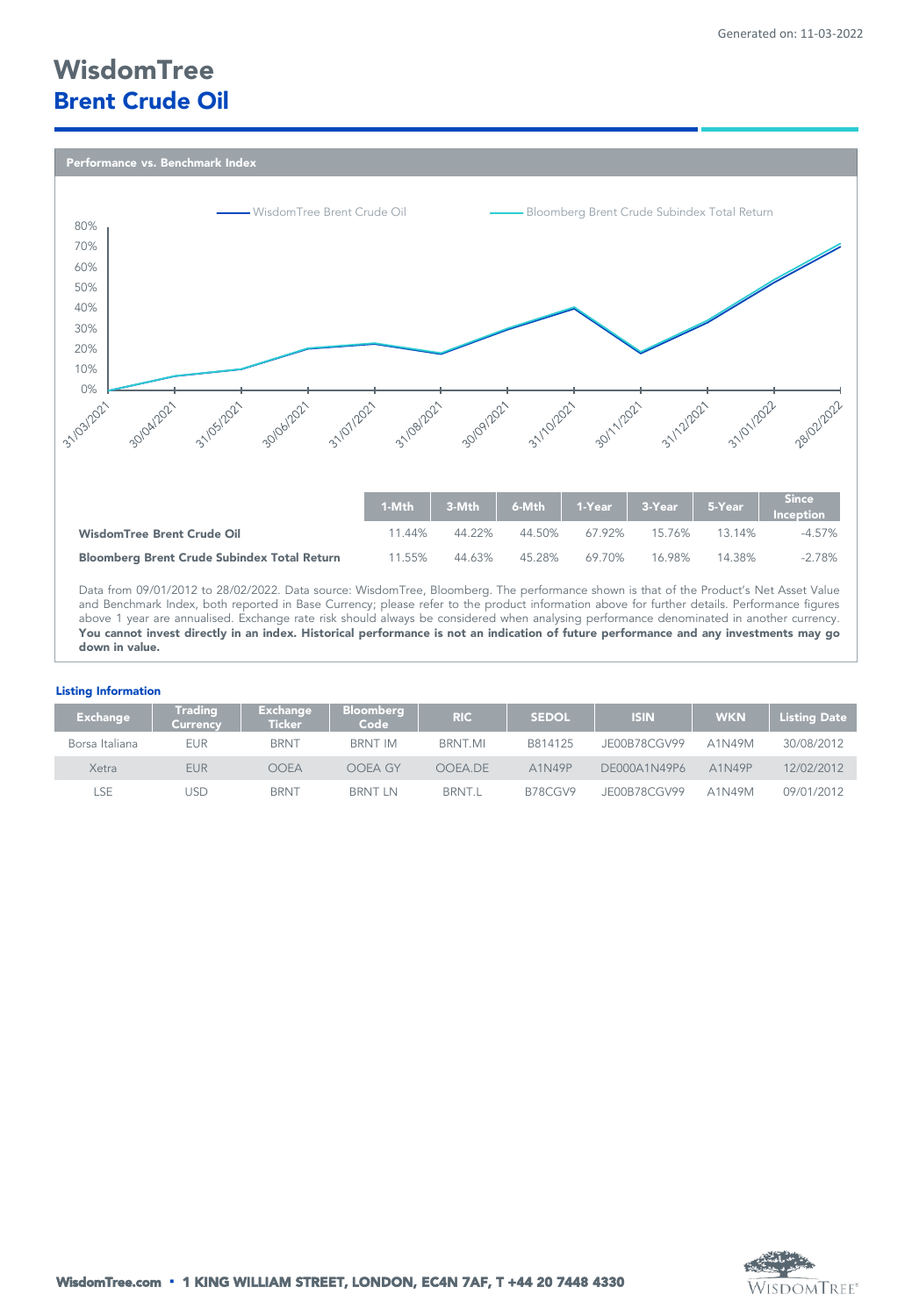# *WisdomTree Brent Crude Oil*

*Performance vs. Benchmark Index* 



and Benchmark Index, both reported in Base Currency; please refer to the product information above for further details. Performance figures above 1 year are annualised. Exchange rate risk should always be considered when analysing performance denominated in another currency. You cannot invest directly in an index. Historical performance is not an indication of future performance and any investments may go *down in value.*

# *Listing Information*

| <b>Exchange</b> | <b>Trading</b><br>Currency | <b>Exchange</b><br>Ticker i | <b>Bloomberg</b><br>Code | <b>RIC</b>    | <b>SEDOL</b> | <b>ISIN</b>  | <b>WKN</b> | <b>Listing Date</b> |
|-----------------|----------------------------|-----------------------------|--------------------------|---------------|--------------|--------------|------------|---------------------|
| Borsa Italiana  | <b>EUR</b>                 | <b>BRNT</b>                 | BRNT IM                  | BRNT.MI       | B814125      | JE00B78CGV99 | A1N49M     | 30/08/2012          |
| Xetra           | <b>EUR</b>                 | OOEA                        | OOEA GY                  | OOEA.DE       | A1N49P       | DE000A1N49P6 | A1N49P     | 12/02/2012          |
| <b>SE</b>       | JSD                        | <b>BRNT</b>                 | <b>BRNT LN</b>           | <b>BRNT.L</b> | B78CGV9      | JE00B78CGV99 | A1N49M     | 09/01/2012          |

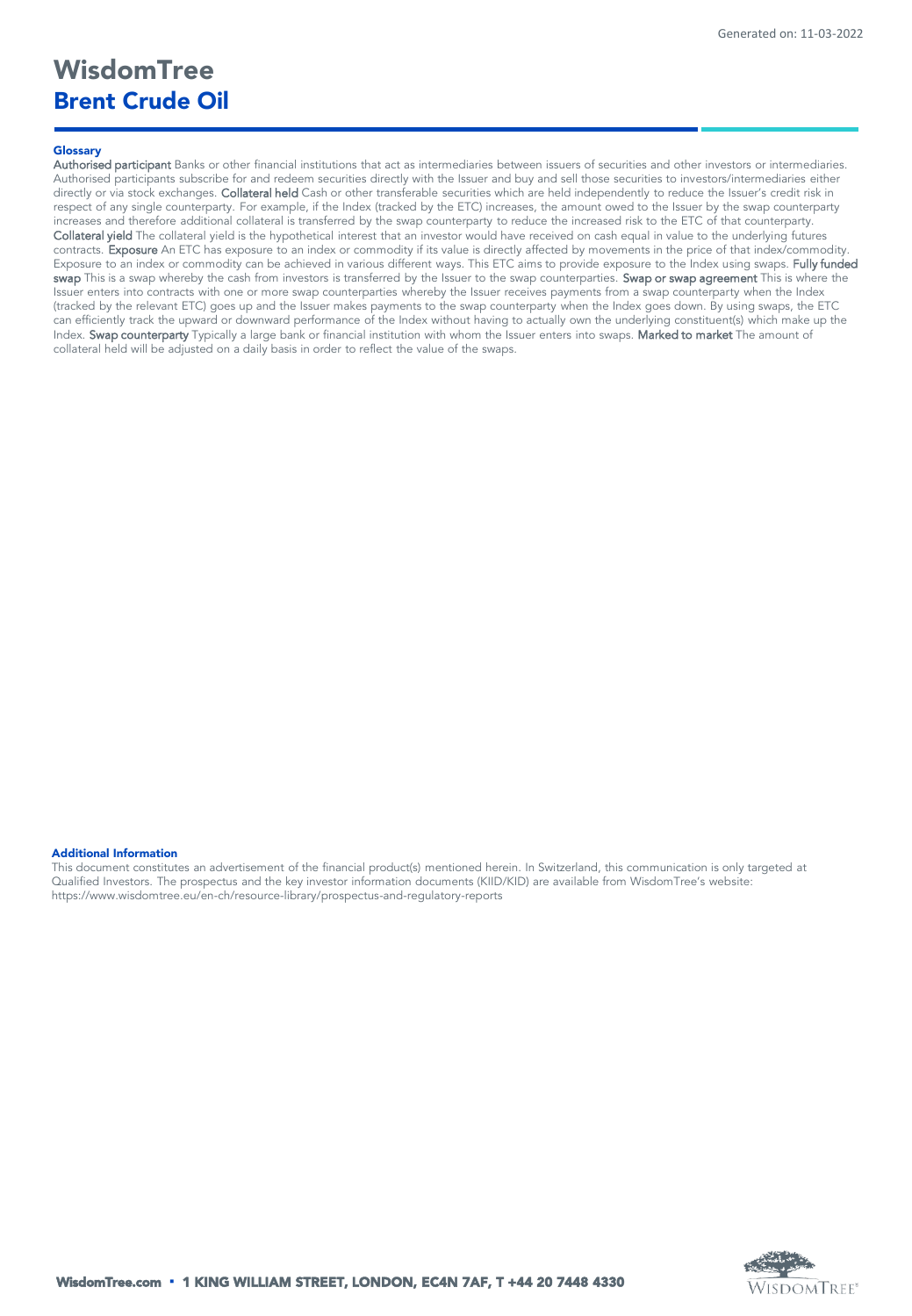# *WisdomTree Brent Crude Oil*

# *Glossary*

Authorised participant Banks or other financial institutions that act as intermediaries between issuers of securities and other investors or intermediaries. Authorised participants subscribe for and redeem securities directly with the Issuer and buy and sell those securities to investors/intermediaries either directly or via stock exchanges. Collateral held Cash or other transferable securities which are held independently to reduce the Issuer's credit risk in respect of any single counterparty. For example, if the Index (tracked by the ETC) increases, the amount owed to the Issuer by the swap counterparty increases and therefore additional collateral is transferred by the swap counterparty to reduce the increased risk to the ETC of that counterparty. Collateral yield The collateral yield is the hypothetical interest that an investor would have received on cash equal in value to the underlying futures contracts. Exposure An ETC has exposure to an index or commodity if its value is directly affected by movements in the price of that index/commodity. Exposure to an index or commodity can be achieved in various different ways. This ETC aims to provide exposure to the Index using swaps. Fully funded swap This is a swap whereby the cash from investors is transferred by the Issuer to the swap counterparties. Swap or swap agreement This is where the Issuer enters into contracts with one or more swap counterparties whereby the Issuer receives payments from a swap counterparty when the Index (tracked by the relevant ETC) goes up and the Issuer makes payments to the swap counterparty when the Index goes down. By using swaps, the ETC can efficiently track the upward or downward performance of the Index without having to actually own the underlying constituent(s) which make up the Index. Swap counterparty Typically a large bank or financial institution with whom the Issuer enters into swaps. Marked to market The amount of collateral held will be adjusted on a daily basis in order to reflect the value of the swaps.

# *Additional Information*

This document constitutes an advertisement of the financial product(s) mentioned herein. In Switzerland, this communication is only targeted at Qualified Investors. The prospectus and the key investor information documents (KIID/KID) are available from WisdomTree's website: https://www.wisdomtree.eu/en-ch/resource-library/prospectus-and-regulatory-reports